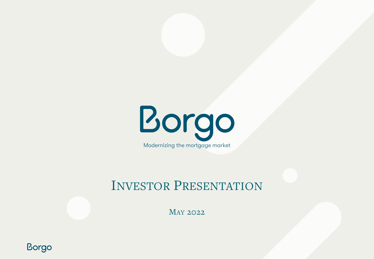

## INVESTOR PRESENTATION

MAY 2022

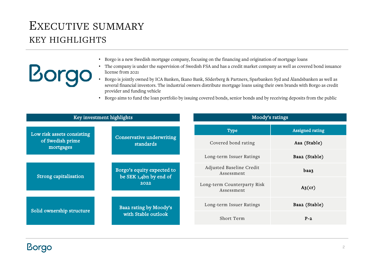## EXECUTIVE SUMMARY KEY HIGHLIGHTS

**Borgo** 

- Borgo is a new Swedish mortgage company, focusing on the financing and origination of mortgage loans
- The company is under the supervision of Swedish FSA and has a credit market company as well as covered bond issuance license from 2021
- Borgo is jointly owned by ICA Banken, Ikano Bank, Söderberg & Partners, Sparbanken Syd and Ålandsbanken as well as several financial investors. The industrial owners distribute mortgage loans using their own brands with Borgo as credit provider and funding vehicle
- Borgo aims to fund the loan portfolio by issuing covered bonds, senior bonds and by receiving deposits from the public

| Key investment highlights     |                                                              | Moody's ratings                           |                        |
|-------------------------------|--------------------------------------------------------------|-------------------------------------------|------------------------|
| Low risk assets consisting    | Conservative underwriting<br>standards                       | Type                                      | <b>Assigned rating</b> |
| of Swedish prime<br>mortgages |                                                              | Covered bond rating                       | Aaa (Stable)           |
|                               |                                                              | Long-term Issuer Ratings                  | Baa2 (Stable)          |
| Strong capitalisation         | Borgo's equity expected to<br>be SEK 1,4bn by end of<br>2022 | Adjusted Baseline Credit<br>Assessment    | baa3                   |
|                               |                                                              | Long-term Counterparty Risk<br>Assessment | $A_3$ (cr)             |
| Solid ownership structure     | Baa2 rating by Moody's<br>with Stable outlook                | Long-term Issuer Ratings                  | Baa2 (Stable)          |
|                               |                                                              | Short Term                                | $P-2$                  |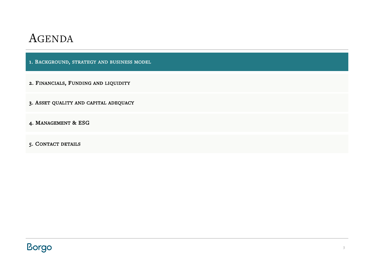1. BACKGROUND, STRATEGY AND BUSINESS MODEL

- 2. FINANCIALS, FUNDING AND LIQUIDITY
- 3. ASSET QUALITY AND CAPITAL ADEQUACY
- 4. MANAGEMENT & ESG
- 5. CONTACT DETAILS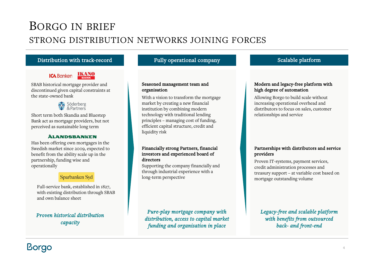## BORGO IN BRIEF STRONG DISTRIBUTION NETWORKS JOINING FORCES

### Distribution with track-record Fully operational company Scalable platform

### **ICA** Banken **IKANO**

SBAB historical mortgage provider and discontinued given capital constraints at the state-owned bank



Short term both Skandia and Bluestep Bank act as mortgage providers, but not perceived as sustainable long term

#### **ÀLANDSBANKEN**

Has been offering own mortgages in the Swedish market since 2009, expected to benefit from the ability scale up in the partnership, funding wise and operationally

### Sparbanken Syd

Full-service bank, established in 1827, with existing distribution through SBAB and own balance sheet

### *Proven historical distribution capacity*

#### Seasoned management team and organisation

With a vision to transform the mortgage market by creating a new financial institution by combining modern technology with traditional lending principles – managing cost of funding, efficient capital structure, credit and liquidity risk

#### Financially strong Partners, financial investors and experienced board of directors

Supporting the company financially and through industrial experience with a long-term perspective

*Pure-play mortgage company with distribution, access to capital market funding and organisation in place*

#### Modern and legacy-free platform with high degree of automation

Allowing Borgo to build scale without increasing operational overhead and distributors to focus on sales, customer relationships and service

#### Partnerships with distributors and service providers

Proven IT-systems, payment services, credit administration processes and treasury support – at variable cost based on mortgage outstanding volume

### *Legacy-free and scalable platform with benefits from outsourced back- and front-end*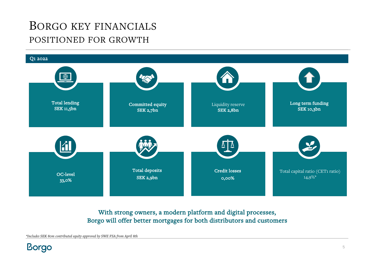## BORGO KEY FINANCIALS POSITIONED FOR GROWTH



### With strong owners, a modern platform and digital processes, Borgo will offer better mortgages for both distributors and customers

*\*Includes SEK 80m contributed equity approved by SWE FSA from April 8th*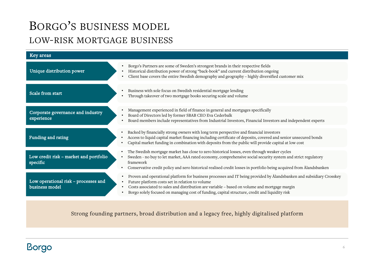## BORGO'S BUSINESS MODEL LOW-RISK MORTGAGE BUSINESS

| Key areas                                              |                                                                                                                                                                                                                                                                                                                                                                                                                                |
|--------------------------------------------------------|--------------------------------------------------------------------------------------------------------------------------------------------------------------------------------------------------------------------------------------------------------------------------------------------------------------------------------------------------------------------------------------------------------------------------------|
| Unique distribution power                              | Borgo's Partners are some of Sweden's strongest brands in their respective fields<br>$\bullet$<br>Historical distribution power of strong "back-book" and current distribution ongoing<br>Client base covers the entire Swedish demography and geography - highly diversified customer mix<br>$\bullet$                                                                                                                        |
| Scale from start                                       | Business with sole focus on Swedish residential mortgage lending<br>$\bullet$<br>Through takeover of two mortgage books securing scale and volume                                                                                                                                                                                                                                                                              |
| Corporate governance and industry<br>experience        | Management experienced in field of finance in general and mortgages specifically<br>Board of Directors led by former SBAB CEO Eva Cederbalk<br>$\bullet$<br>Board members include representatives from Industrial Investors, Financial Investors and independent experts                                                                                                                                                       |
| Funding and rating                                     | Backed by financially strong owners with long term perspective and financial investors<br>$\bullet$<br>Access to liquid capital market financing including certificate of deposits, covered and senior unsecured bonds<br>Capital market funding in combination with deposits from the public will provide capital at low cost<br>٠                                                                                            |
| Low credit risk - market and portfolio<br>specific     | The Swedish mortgage market has close to zero historical losses, even through weaker cycles<br>$\bullet$<br>Sweden - no buy to let market, AAA rated economy, comprehensive social security system and strict regulatory<br>$\bullet$<br>framework<br>Conservative credit policy and zero historical realised credit losses in portfolio being acquired from Ålandsbanken                                                      |
| Low operational risk - processes and<br>business model | Proven and operational platform for business processes and IT being provided by Ålandsbanken and subsidiary Crosskey<br>$\bullet$<br>Future platform costs set in relation to volume<br>$\bullet$<br>Costs associated to sales and distribution are variable - based on volume and mortgage margin<br>$\bullet$<br>Borgo solely focused on managing cost of funding, capital structure, credit and liquidity risk<br>$\bullet$ |

Strong founding partners, broad distribution and a legacy free, highly digitalised platform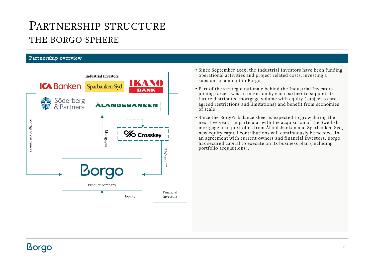## PARTNERSHIP STRUCTURE THE BORGO SPHERE

### Partnership overview



- Since September 2019, the Industrial Investors have been funding operational activities and project related costs, investing a substantial amount in Borgo
- Part of the strategic rationale behind the Industrial Investors joining forces, was an intention by each partner to support its future distributed mortgage volume with equity (subject to preagreed restrictions and limitations) and benefit from economies of scale
- Since the Borgo's balance sheet is expected to grow during the next five years, in particular with the acquisition of the Swedish mortgage loan portfolios from Ålandsbanken and Sparbanken Syd, new equity capital contributions will continuously be needed. In an agreement with current owners and financial investors, Borgo has secured capital to execute on its business plan (including portfolio acquisitions).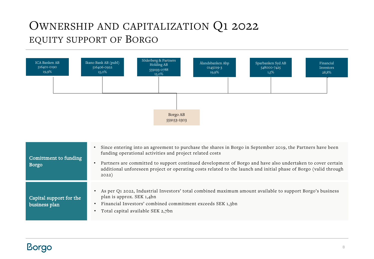## OWNERSHIP AND CAPITALIZATION Q1 2022 EQUITY SUPPORT OF BORGO



| Comittment to funding<br><b>Borgo</b>    | Since entering into an agreement to purchase the shares in Borgo in September 2019, the Partners have been<br>funding operational activities and project related costs<br>Partners are committed to support continued development of Borgo and have also undertaken to cover certain<br>additional unforeseen project or operating costs related to the launch and initial phase of Borgo (valid through<br>2022) |
|------------------------------------------|-------------------------------------------------------------------------------------------------------------------------------------------------------------------------------------------------------------------------------------------------------------------------------------------------------------------------------------------------------------------------------------------------------------------|
| Capital support for the<br>business plan | As per Q1 2022, Industrial Investors' total combined maximum amount available to support Borgo's business<br>plan is approx. SEK 1,4bn<br>Financial Investors' combined commitment exceeds SEK 1,3bn<br>Total capital available SEK 2,7bn                                                                                                                                                                         |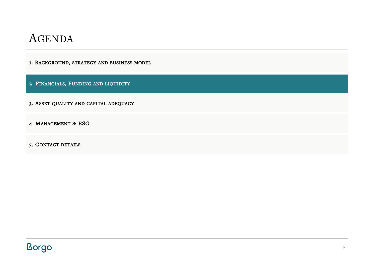1. BACKGROUND, STRATEGY AND BUSINESS MODEL

2. FINANCIALS, FUNDING AND LIQUIDITY

3. ASSET QUALITY AND CAPITAL ADEQUACY

4. MANAGEMENT & ESG

5. CONTACT DETAILS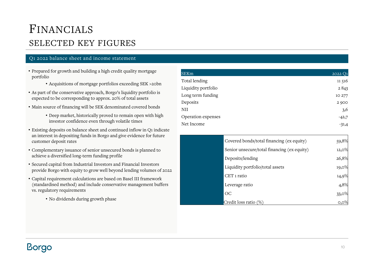## FINANCIALS SELECTED KEY FIGURES

#### Q1 2022 balance sheet and income statement

- Prepared for growth and building a high credit quality mortgage portfolio
	- Acquisitions of mortgage portfolios exceeding SEK >20bn
- As part of the conservative approach, Borgo's liquidity portfolio is expected to be corresponding to approx. 20% of total assets
- Main source of financing will be SEK denominated covered bonds
	- Deep market, historically proved to remain open with high investor confidence even through volatile times
- Existing deposits on balance sheet and continued inflow in Q1 indicate an interest in depositing funds in Borgo and give evidence for future customer deposit rates
- Complementary issuance of senior unsecured bonds is planned to achieve a diversified long-term funding profile
- Secured capital from Industrial Investors and Financial Investors provide Borgo with equity to grow well beyond lending volumes of 2022
- Capital requirement calculations are based on Basel III framework (standardised method) and include conservative management buffers vs. regulatory requirements
	- No dividends during growth phase

| <b>SEKm</b>         | 2022 Q1 |
|---------------------|---------|
| Total lending       | 11 516  |
| Liquidity portfolio | 2843    |
| Long term funding   | 10 277  |
| Deposits            | 2900    |
| NII                 | 3,6     |
| Operation expenses  | $-42,7$ |
| Net Income          | $-31,4$ |

| Covered bonds/total financing (ex equity)   | 59,8%   |
|---------------------------------------------|---------|
| Senior unsecure/total financing (ex equity) | 12,0%   |
| Deposits/lending                            | 26,8%   |
| Liquidity portfolio/total assets            | 19,0%   |
| CET 1 ratio                                 | 14,9%   |
| Leverage ratio                              | 4,8%    |
| OC                                          | 33,0%   |
| Credit loss ratio (%)                       | $0,0\%$ |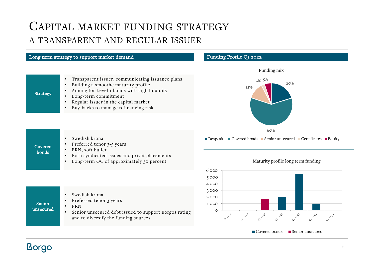## CAPITAL MARKET FUNDING STRATEGY A TRANSPARENT AND REGULAR ISSUER

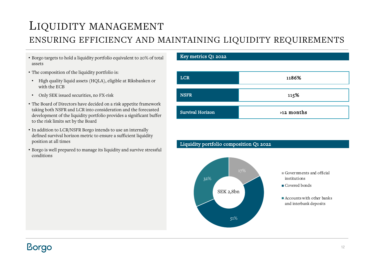## LIQUIDITY MANAGEMENT

### ENSURING EFFICIENCY AND MAINTAINING LIQUIDITY REQUIREMENTS

- Borgo targets to hold a liquidity portfolio equivalent to 20% of total assets
- The composition of the liquidity portfolio is:
- High quality liquid assets (HQLA), eligible at Riksbanken or with the ECB
- Only SEK issued securities, no FX-risk
- The Board of Directors have decided on a risk appetite framework taking both NSFR and LCR into consideration and the forecasted development of the liquidity portfolio provides a significant buffer to the risk limits set by the Board
- In addition to LCR/NSFR Borgo intends to use an internally defined survival horizon metric to ensure a sufficient liquidity position at all times
- Borgo is well prepared to manage its liquidity and survive stressful conditions

#### Key metrics Q1 2022

Liquidity portfolio composition Q1 2022



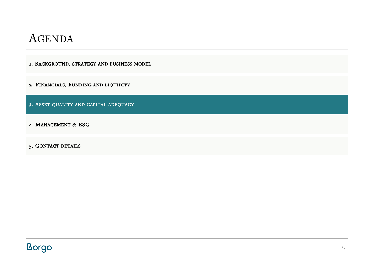1. BACKGROUND, STRATEGY AND BUSINESS MODEL

2. FINANCIALS, FUNDING AND LIQUIDITY

3. ASSET QUALITY AND CAPITAL ADEQUACY

4. MANAGEMENT & ESG

5. CONTACT DETAILS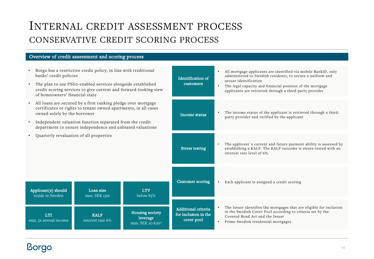## INTERNAL CREDIT ASSESSMENT PROCESS CONSERVATIVE CREDIT SCORING PROCESS

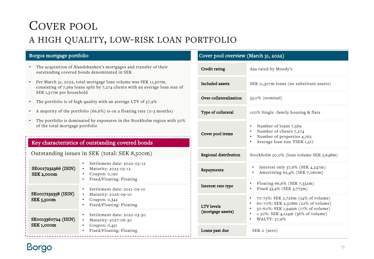## COVER POOL A HIGH QUALITY, LOW-RISK LOAN PORTFOLIO

### Borgos mortgage portfolio

- The acquisition of Ålandsbanken's mortgages and transfer of their outstanding covered bonds denominated in SEK
- Per March 31, 2022, total mortgage loan volume was SEK 11,307m, consisting of 7,569 loans split by 7,274 clients with an average loan size of SEK 1,517m per household
- The portfolio is of high quality with an average LTV of 57,9%
- A majority of the portfolio (66,6%) is on a floating rate (0-3 months)
- The portfolio is dominated by exposures in the Stockholm region with 50% of the total mortgage portfolio

### Key characteristics of outstanding covered bonds

| Outstanding issues in SEK (total: SEK 8,500m) |  |
|-----------------------------------------------|--|
|                                               |  |

| SE0017232366 (ISIN)<br>SEK 2,000m      | Settlement date: 2020-05-12<br>• Maturity: $2025 - 05 - 12$<br>Coupon: 0,190<br>Fixed/Floating: Floating<br>$\bullet$          |
|----------------------------------------|--------------------------------------------------------------------------------------------------------------------------------|
| SE0017232358 (ISIN)<br>$SEK$ 5,500 $m$ | Settlement date: 2021-09-10<br>٠<br>Maturity: 2026-09-10<br>٠<br>Coupon: $0,342$<br>٠<br>Fixed/Floating: Floating<br>$\bullet$ |
| SE0013360724 (ISIN)<br>SEK 1,000m      | Settlement date: 2022-03-30<br>Maturity: 2027-06-30<br>٠<br>Coupon: $0,451$<br>Fixed/Floating: Floating<br>$\bullet$           |

#### Cover pool overview (March 31, 2022)

| Credit rating                          | Aaa rated by Moody's                                                                                                                                                                      |
|----------------------------------------|-------------------------------------------------------------------------------------------------------------------------------------------------------------------------------------------|
| <b>Included</b> assets                 | SEK 11,307m loans (no substitute assets)                                                                                                                                                  |
| Over-collateralisation                 | 33,0% (nominal)                                                                                                                                                                           |
| Type of collateral                     | 100% Single -family housing & flats                                                                                                                                                       |
| Cover pool items                       | Number of loans 7,569<br>Number of clients 7,274<br>Number of properties 4,762<br>$\bullet$<br>Average loan size TSEK 1,517                                                               |
| Regional distribution                  | Stockholm 50,0% (loan volume SEK 5,648m)                                                                                                                                                  |
| Repayments                             | Interest only $37,6\%$ (SEK 4,247m)<br>٠<br>Amortizing 62,4% (SEK 7,060m)                                                                                                                 |
| Interest rate type                     | Floating 66,6% (SEK 7,532m)<br>Fixed 33,4% (SEK 3,775m)<br>٠                                                                                                                              |
| <b>LTV</b> levels<br>(mortgage assets) | 70-75%: SEK 2,726m (24% of volume)<br>٠<br>60-70%: SEK 2,508m (22% of volume)<br>$\bullet$<br>50-60%: SEK 1,949m (17% of volume)<br>$\le$ 50%: SEK 4,124m (36% of volume)<br>WALTV: 57,9% |
| Loans past due                         | SEK o (zero)                                                                                                                                                                              |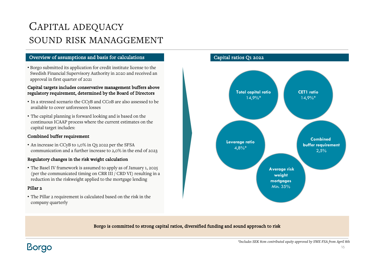## CAPITAL ADEQUACY SOUND RISK MANAGGEMENT

#### Overview of assumptions and basis for calculations

• Borgo submitted its application for credit institute license to the Swedish Financial Supervisory Authority in 2020 and received an approval in first quarter of 2021

#### Capital targets includes conservative management buffers above regulatory requirement, determined by the Board of Directors

- In a stressed scenario the CCyB and CCoB are also assessed to be available to cover unforeseen losses
- The capital planning is forward looking and is based on the continuous ICAAP process where the current estimates on the capital target includes:

#### Combined buffer requirement

• An increase in CCyB to 1,0% in Q3 2022 per the SFSA communication and a further increase to 2,0% in the end of 2023

#### Regulatory changes in the risk weight calculation

• The Basel IV framework is assumed to apply as of January 1, 2025 (per the communicated timing on CRR III / CRD VI) resulting in a reduction in the riskweight applied to the mortgage lending

#### Pillar<sub>2</sub>

• The Pillar 2 requirement is calculated based on the risk in the company quarterly

#### Capital ratios Q1 2022



#### Borgo is committed to strong capital ratios, diversified funding and sound approach to risk

**Borgo** 

*\*Includes SEK 80m contributed equity approved by SWE FSA from April 8th*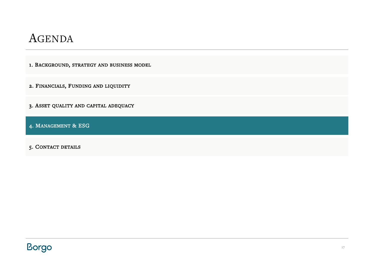1. BACKGROUND, STRATEGY AND BUSINESS MODEL

2. FINANCIALS, FUNDING AND LIQUIDITY

3. ASSET QUALITY AND CAPITAL ADEQUACY

4. MANAGEMENT & ESG

5. CONTACT DETAILS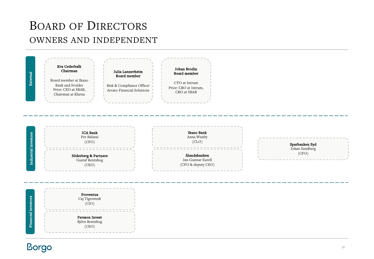## BOARD OF DIRECTORS OWNERS AND INDEPENDENT

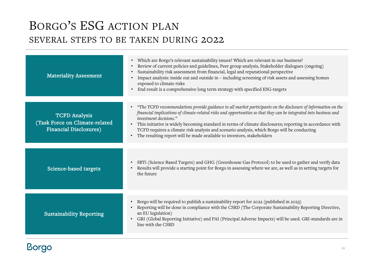## BORGO'S ESG ACTION PLAN SEVERAL STEPS TO BE TAKEN DURING 2022

| <b>Materiality Assesment</b>                                                            | • Which are Borgo's relevant sustainability issues? Which are relevant in our business?<br>Review of current policies and guidelines, Peer group analysis, Stakeholder dialogues (ongoing)<br>Sustainability risk assessment from financial, legal and reputational perspective<br>Impact analysis: inside out and outside in - including screening of risk assets and assessing homes<br>exposed to climate risks<br>End result is a comprehensive long term strategy with specified ESG-targets                                                                               |
|-----------------------------------------------------------------------------------------|---------------------------------------------------------------------------------------------------------------------------------------------------------------------------------------------------------------------------------------------------------------------------------------------------------------------------------------------------------------------------------------------------------------------------------------------------------------------------------------------------------------------------------------------------------------------------------|
| <b>TCFD Analysis</b><br>(Task Force on Climate-related<br><b>Financial Disclosures)</b> | • "The TCFD recommendations provide guidance to all market participants on the disclosure of information on the<br>financial implications of climate-related risks and opportunities so that they can be integrated into business and<br>investment decisions."<br>This initiative is widely becoming standard in terms of climate disclosures; reporting in accordance with<br>$\bullet$<br>TCFD requires a climate risk analysis and scenario analysis, which Borgo will be conducting<br>The resulting report will be made available to investors, stakeholders<br>$\bullet$ |
| Science-based targets                                                                   | SBTi (Science Based Targets) and GHG (Greenhouse Gas Protocol) to be used to gather and verify data<br>Results will provide a starting point for Borgo in assessing where we are, as well as in setting targets for<br>the future                                                                                                                                                                                                                                                                                                                                               |
| <b>Sustainability Reporting</b>                                                         | Borgo will be required to publish a sustainability report for 2022 (published in 2023)<br>$\bullet$<br>Reporting will be done in compliance with the CSRD (The Corporate Sustainability Reporting Directive,<br>an EU legislation)<br>GRI (Global Reporting Initiative) and PAI (Principal Adverse Impacts) will be used. GRI-standards are in<br>line with the CSRD                                                                                                                                                                                                            |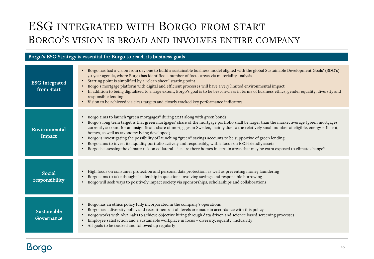## ESG INTEGRATED WITH BORGO FROM START BORGO'S VISION IS BROAD AND INVOLVES ENTIRE COMPANY

|                                     | Borgo's ESG Strategy is essential for Borgo to reach its business goals                                                                                                                                                                                                                                                                                                                                                                                                                                                                                                                                                                                                                                                                                                                                                     |
|-------------------------------------|-----------------------------------------------------------------------------------------------------------------------------------------------------------------------------------------------------------------------------------------------------------------------------------------------------------------------------------------------------------------------------------------------------------------------------------------------------------------------------------------------------------------------------------------------------------------------------------------------------------------------------------------------------------------------------------------------------------------------------------------------------------------------------------------------------------------------------|
| <b>ESG</b> Integrated<br>from Start | Borgo has had a vision from day one to build a sustainable business model aligned with the global Sustainable Development Goals' (SDG's)<br>$\bullet$<br>30-year agenda, where Borgo has identified a number of focus areas via materiality analysis<br>Starting point is simplified by a "clean sheet" starting point<br>$\bullet$<br>Borgo's mortgage platform with digital and efficient processes will have a very limited environmental impact<br>In addition to being digitalized to a large extent, Borgo's goal is to be best-in-class in terms of business ethics, gender equality, diversity and<br>responsible lending<br>• Vision to be achieved via clear targets and closely tracked key performance indicators                                                                                               |
| Environmental<br>Impact             | Borgo aims to launch "green mortgages" during 2023 along with green bonds<br>$\bullet$<br>Borgo's long term target is that green mortgages' share of the mortgage portfolio shall be larger than the market average (green mortgages<br>$\bullet$<br>currently account for an insignificant share of mortgages in Sweden, mainly due to the relatively small number of eligible, energy-efficient,<br>homes, as well as taxonomy being developed)<br>Borgo is investigating the possibility of launching "green" savings accounts to be supportive of green lending<br>Borgo aims to invest its liquidity portfolio actively and responsibly, with a focus on ESG-friendly assets<br>Borgo is assessing the climate risk on collateral - i.e. are there homes in certain areas that may be extra exposed to climate change? |
| Social<br>responsibility            | High focus on consumer protection and personal data protection, as well as preventing money laundering<br>$\bullet$<br>Borgo aims to take thought-leadership in questions involving savings and responsible borrowing<br>Borgo will seek ways to positively impact society via sponsorships, scholarships and collaborations                                                                                                                                                                                                                                                                                                                                                                                                                                                                                                |
| Sustainable<br>Governance           | Borgo has an ethics policy fully incorporated in the company's operations<br>$\bullet$<br>Borgo has a diversity policy and recruitments at all levels are made in accordance with this policy<br>$\bullet$<br>Borgo works with Alva Labs to achieve objective hiring through data driven and science based screening processes<br>Employee satisfaction and a sustainable workplace in focus - diversity, equality, inclusivity<br>All goals to be tracked and followed up regularly                                                                                                                                                                                                                                                                                                                                        |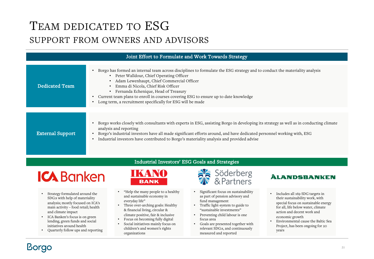# TEAM DEDICATED TO ESG

### SUPPORT FROM OWNERS AND ADVISORS

| Joint Effort to Formulate and Work Towards Strategy |                                                                                                                                                                                                                                                                                                                                                                                                                                                                                                |  |
|-----------------------------------------------------|------------------------------------------------------------------------------------------------------------------------------------------------------------------------------------------------------------------------------------------------------------------------------------------------------------------------------------------------------------------------------------------------------------------------------------------------------------------------------------------------|--|
| Dedicated Team                                      | Borgo has formed an internal team across disciplines to formulate the ESG strategy and to conduct the materiality analysis<br>$\bullet$<br>• Peter Walldour, Chief Operating Officer<br>Adam Lewenhaupt, Chief Commercial Officer<br>$\bullet$<br>Emma di Nicola, Chief Risk Officer<br>Fernanda Echenique, Head of Treasury<br>Current team plans to enroll in courses covering ESG to ensure up to date knowledge<br>$\bullet$<br>Long term, a recruitment specifically for ESG will be made |  |
| <b>External Support</b>                             | Borgo works closely with consultants with experts in ESG, assisting Borgo in developing its strategy as well as in conducting climate<br>analysis and reporting<br>Borgo's industrial investors have all made significant efforts around, and have dedicated personnel working with, ESG<br>Industrial investors have contributed to Borgo's materiality analysis and provided advise                                                                                                          |  |

## **ICA** Banken

- Strategy formulated around the SDG:s with help of materiality analysis; mostly focused on ICA's main activity – food retail; health and climate impact
- ICA Banken's focus is on green lending, green funds and social initiatives around health
- Quarterly follow ups and reporting

### Industrial Investors' ESG Goals and Strategies



- "Help the many people to a healthy and sustainable economy in everyday life"
- Three over-arching goals: Healthy & financial living, circular & climate positive, fair & inclusive
- Focus on becoming fully digital
- Social initiatives mainly focus on children's and women's rights organizations



- Significant focus on sustainability as part of pension advisory and fund management
- Traffic light-system to guide to "sustainable investments"
- Preventing child labour is one focus area
- Goals are presented together with relevant SDG:s, and continuously measured and reported

### **ÀLANDSBANKEN**

- Includes all 169 SDG targets in their sustainability work, with special focus on sustainable energy for all, life below water, climate action and decent work and economic growth
- Environmental cause the Baltic Sea Project, has been ongoing for 20 years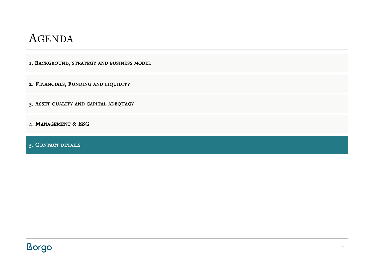1. BACKGROUND, STRATEGY AND BUSINESS MODEL

2. FINANCIALS, FUNDING AND LIQUIDITY

3. ASSET QUALITY AND CAPITAL ADEQUACY

4. MANAGEMENT & ESG

5. CONTACT DETAILS